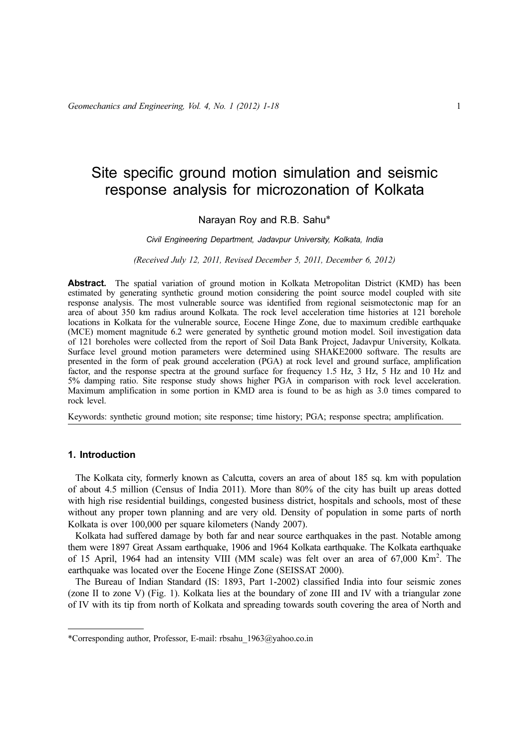# Site specific ground motion simulation and seismic response analysis for microzonation of Kolkata

# Narayan Roy and R.B. Sahu\*

## Civil Engineering Department, Jadavpur University, Kolkata, India

#### (Received July 12, 2011, Revised December 5, 2011, December 6, 2012)

Abstract. The spatial variation of ground motion in Kolkata Metropolitan District (KMD) has been estimated by generating synthetic ground motion considering the point source model coupled with site response analysis. The most vulnerable source was identified from regional seismotectonic map for an area of about 350 km radius around Kolkata. The rock level acceleration time histories at 121 borehole locations in Kolkata for the vulnerable source, Eocene Hinge Zone, due to maximum credible earthquake (MCE) moment magnitude 6.2 were generated by synthetic ground motion model. Soil investigation data of 121 boreholes were collected from the report of Soil Data Bank Project, Jadavpur University, Kolkata. Surface level ground motion parameters were determined using SHAKE2000 software. The results are presented in the form of peak ground acceleration (PGA) at rock level and ground surface, amplification factor, and the response spectra at the ground surface for frequency 1.5 Hz, 3 Hz, 5 Hz and 10 Hz and 5% damping ratio. Site response study shows higher PGA in comparison with rock level acceleration. Maximum amplification in some portion in KMD area is found to be as high as 3.0 times compared to rock level.

Keywords: synthetic ground motion; site response; time history; PGA; response spectra; amplification.

# 1. Introduction

The Kolkata city, formerly known as Calcutta, covers an area of about 185 sq. km with population of about 4.5 million (Census of India 2011). More than 80% of the city has built up areas dotted with high rise residential buildings, congested business district, hospitals and schools, most of these without any proper town planning and are very old. Density of population in some parts of north Kolkata is over 100,000 per square kilometers (Nandy 2007).

Kolkata had suffered damage by both far and near source earthquakes in the past. Notable among them were 1897 Great Assam earthquake, 1906 and 1964 Kolkata earthquake. The Kolkata earthquake of 15 April, 1964 had an intensity VIII (MM scale) was felt over an area of 67,000 Km<sup>2</sup>. The earthquake was located over the Eocene Hinge Zone (SEISSAT 2000).

The Bureau of Indian Standard (IS: 1893, Part 1-2002) classified India into four seismic zones (zone II to zone V) (Fig. 1). Kolkata lies at the boundary of zone III and IV with a triangular zone of IV with its tip from north of Kolkata and spreading towards south covering the area of North and

<sup>\*</sup>Corresponding author, Professor, E-mail: rbsahu\_1963@yahoo.co.in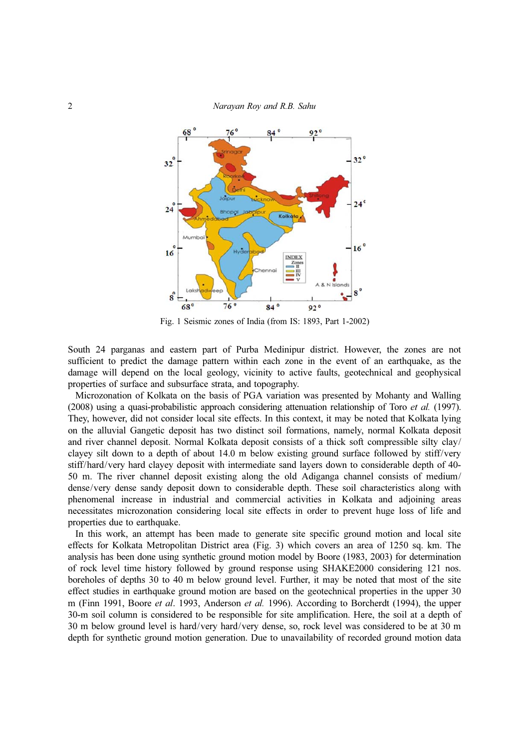2 Narayan Roy and R.B. Sahu



Fig. 1 Seismic zones of India (from IS: 1893, Part 1-2002)

South 24 parganas and eastern part of Purba Medinipur district. However, the zones are not sufficient to predict the damage pattern within each zone in the event of an earthquake, as the damage will depend on the local geology, vicinity to active faults, geotechnical and geophysical properties of surface and subsurface strata, and topography.

Microzonation of Kolkata on the basis of PGA variation was presented by Mohanty and Walling (2008) using a quasi-probabilistic approach considering attenuation relationship of Toro et al. (1997). They, however, did not consider local site effects. In this context, it may be noted that Kolkata lying on the alluvial Gangetic deposit has two distinct soil formations, namely, normal Kolkata deposit and river channel deposit. Normal Kolkata deposit consists of a thick soft compressible silty clay/ clayey silt down to a depth of about 14.0 m below existing ground surface followed by stiff/very stiff/hard/very hard clayey deposit with intermediate sand layers down to considerable depth of 40- 50 m. The river channel deposit existing along the old Adiganga channel consists of medium/ dense/very dense sandy deposit down to considerable depth. These soil characteristics along with phenomenal increase in industrial and commercial activities in Kolkata and adjoining areas necessitates microzonation considering local site effects in order to prevent huge loss of life and properties due to earthquake.

In this work, an attempt has been made to generate site specific ground motion and local site effects for Kolkata Metropolitan District area (Fig. 3) which covers an area of 1250 sq. km. The analysis has been done using synthetic ground motion model by Boore (1983, 2003) for determination of rock level time history followed by ground response using SHAKE2000 considering 121 nos. boreholes of depths 30 to 40 m below ground level. Further, it may be noted that most of the site effect studies in earthquake ground motion are based on the geotechnical properties in the upper 30 m (Finn 1991, Boore et al. 1993, Anderson et al. 1996). According to Borcherdt (1994), the upper 30-m soil column is considered to be responsible for site amplification. Here, the soil at a depth of 30 m below ground level is hard/very hard/very dense, so, rock level was considered to be at 30 m depth for synthetic ground motion generation. Due to unavailability of recorded ground motion data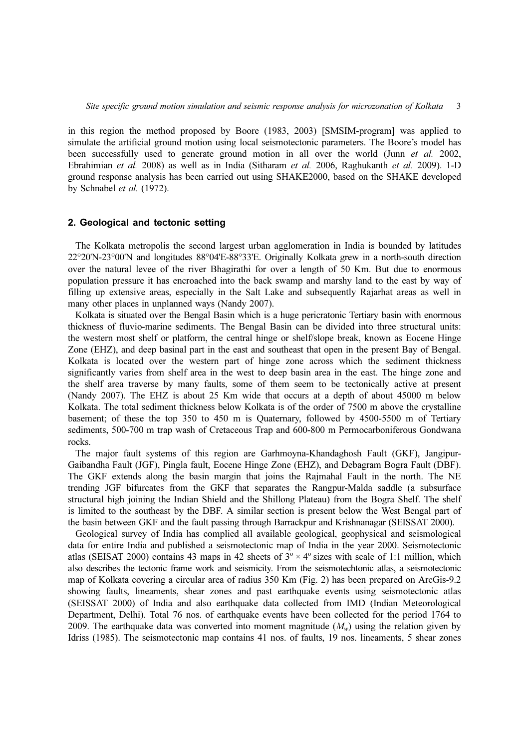in this region the method proposed by Boore (1983, 2003) [SMSIM-program] was applied to simulate the artificial ground motion using local seismotectonic parameters. The Boore's model has been successfully used to generate ground motion in all over the world (Junn *et al.* 2002, Ebrahimian et al. 2008) as well as in India (Sitharam et al. 2006, Raghukanth et al. 2009). 1-D ground response analysis has been carried out using SHAKE2000, based on the SHAKE developed by Schnabel et al. (1972).

## 2. Geological and tectonic setting

The Kolkata metropolis the second largest urban agglomeration in India is bounded by latitudes 22°20'N-23°00'N and longitudes 88°04'E-88°33'E. Originally Kolkata grew in a north-south direction over the natural levee of the river Bhagirathi for over a length of 50 Km. But due to enormous population pressure it has encroached into the back swamp and marshy land to the east by way of filling up extensive areas, especially in the Salt Lake and subsequently Rajarhat areas as well in many other places in unplanned ways (Nandy 2007).

Kolkata is situated over the Bengal Basin which is a huge pericratonic Tertiary basin with enormous thickness of fluvio-marine sediments. The Bengal Basin can be divided into three structural units: the western most shelf or platform, the central hinge or shelf/slope break, known as Eocene Hinge Zone (EHZ), and deep basinal part in the east and southeast that open in the present Bay of Bengal. Kolkata is located over the western part of hinge zone across which the sediment thickness significantly varies from shelf area in the west to deep basin area in the east. The hinge zone and the shelf area traverse by many faults, some of them seem to be tectonically active at present (Nandy 2007). The EHZ is about 25 Km wide that occurs at a depth of about 45000 m below Kolkata. The total sediment thickness below Kolkata is of the order of 7500 m above the crystalline basement; of these the top 350 to 450 m is Quaternary, followed by 4500-5500 m of Tertiary sediments, 500-700 m trap wash of Cretaceous Trap and 600-800 m Permocarboniferous Gondwana rocks.

The major fault systems of this region are Garhmoyna-Khandaghosh Fault (GKF), Jangipur-Gaibandha Fault (JGF), Pingla fault, Eocene Hinge Zone (EHZ), and Debagram Bogra Fault (DBF). The GKF extends along the basin margin that joins the Rajmahal Fault in the north. The NE trending JGF bifurcates from the GKF that separates the Rangpur-Malda saddle (a subsurface structural high joining the Indian Shield and the Shillong Plateau) from the Bogra Shelf. The shelf is limited to the southeast by the DBF. A similar section is present below the West Bengal part of the basin between GKF and the fault passing through Barrackpur and Krishnanagar (SEISSAT 2000).

Geological survey of India has complied all available geological, geophysical and seismological data for entire India and published a seismotectonic map of India in the year 2000. Seismotectonic atlas (SEISAT 2000) contains 43 maps in 42 sheets of  $3^{\circ} \times 4^{\circ}$  sizes with scale of 1:1 million, which also describes the tectonic frame work and seismicity. From the seismotechtonic atlas, a seismotectonic map of Kolkata covering a circular area of radius 350 Km (Fig. 2) has been prepared on ArcGis-9.2 showing faults, lineaments, shear zones and past earthquake events using seismotectonic atlas (SEISSAT 2000) of India and also earthquake data collected from IMD (Indian Meteorological Department, Delhi). Total 76 nos. of earthquake events have been collected for the period 1764 to 2009. The earthquake data was converted into moment magnitude  $(M_w)$  using the relation given by Idriss (1985). The seismotectonic map contains 41 nos. of faults, 19 nos. lineaments, 5 shear zones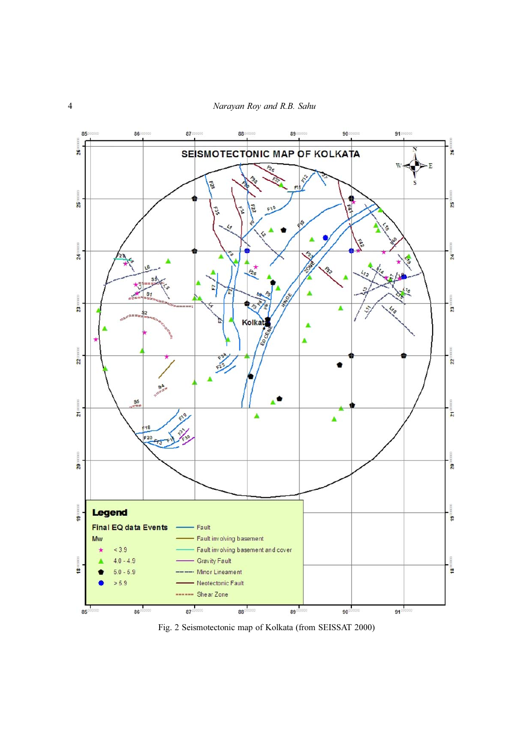

Fig. 2 Seismotectonic map of Kolkata (from SEISSAT 2000)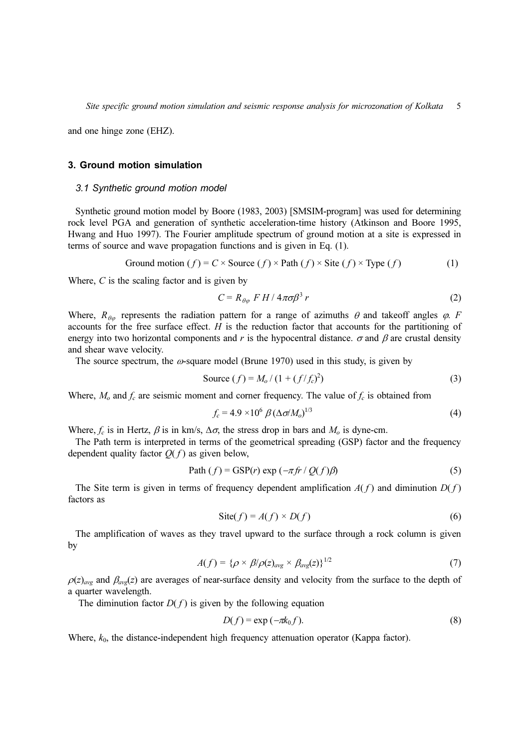and one hinge zone (EHZ).

# 3. Ground motion simulation

#### 3.1 Synthetic ground motion model

Synthetic ground motion model by Boore (1983, 2003) [SMSIM-program] was used for determining rock level PGA and generation of synthetic acceleration-time history (Atkinson and Boore 1995, Hwang and Huo 1997). The Fourier amplitude spectrum of ground motion at a site is expressed in terms of source and wave propagation functions and is given in Eq. (1).

$$
Ground motion (f) = C \times Source (f) \times Path (f) \times Site (f) \times Type (f)
$$
 (1)

Where,  $C$  is the scaling factor and is given by

$$
C = R_{\theta\varphi} F H / 4\pi\sigma\beta^3 r \tag{2}
$$

Where,  $R_{\theta\varphi}$  represents the radiation pattern for a range of azimuths  $\theta$  and takeoff angles  $\varphi$ . F accounts for the free surface effect.  $H$  is the reduction factor that accounts for the partitioning of energy into two horizontal components and r is the hypocentral distance.  $\sigma$  and  $\beta$  are crustal density and shear wave velocity.

The source spectrum, the  $\omega$ -square model (Brune 1970) used in this study, is given by

Source 
$$
(f) = M_o / (1 + (f/f_c)^2)
$$
 (3)

Where,  $M_0$  and  $f_c$  are seismic moment and corner frequency. The value of  $f_c$  is obtained from

$$
f_c = 4.9 \times 10^6 \beta (\Delta \sigma / M_o)^{1/3}
$$
 (4)

Where,  $f_c$  is in Hertz,  $\beta$  is in km/s,  $\Delta \sigma$ , the stress drop in bars and  $M_o$  is dyne-cm.

The Path term is interpreted in terms of the geometrical spreading (GSP) factor and the frequency dependent quality factor  $O(f)$  as given below.

Path 
$$
(f) = GSP(r) \exp(-\pi fr / Q(f)\beta)
$$
 (5)

The Site term is given in terms of frequency dependent amplification  $A(f)$  and diminution  $D(f)$ factors as

$$
Site(f) = A(f) \times D(f)
$$
\n(6)

The amplification of waves as they travel upward to the surface through a rock column is given by

$$
A(f) = \{ \rho \times \beta/\rho(z)_{avg} \times \beta_{avg}(z) \}^{1/2}
$$
 (7)

 $\rho(z)_{\text{ave}}$  and  $\beta_{\text{ave}}(z)$  are averages of near-surface density and velocity from the surface to the depth of a quarter wavelength.

The diminution factor  $D(f)$  is given by the following equation

$$
D(f) = \exp\left(-\pi k_0 f\right). \tag{8}
$$

Where,  $k_0$ , the distance-independent high frequency attenuation operator (Kappa factor).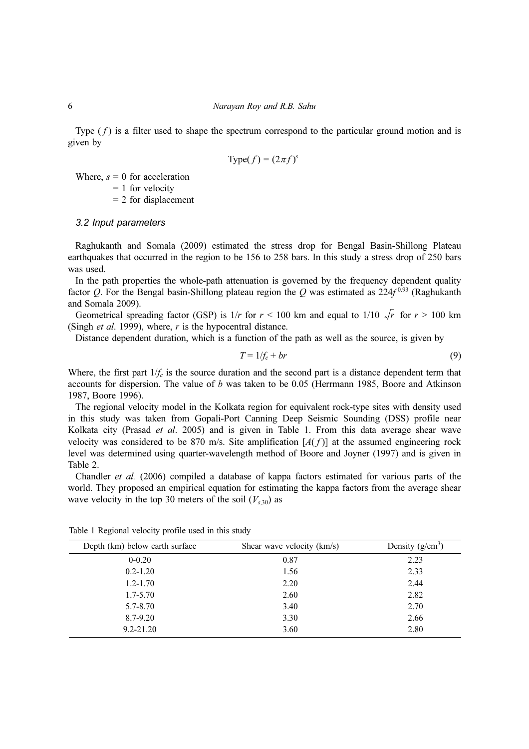Type  $(f)$  is a filter used to shape the spectrum correspond to the particular ground motion and is given by

$$
Type(f) = (2\pi f)^s
$$

Where,  $s = 0$  for acceleration

 $= 1$  for velocity

 $= 2$  for displacement

## 3.2 Input parameters

Raghukanth and Somala (2009) estimated the stress drop for Bengal Basin-Shillong Plateau earthquakes that occurred in the region to be 156 to 258 bars. In this study a stress drop of 250 bars was used.

In the path properties the whole-path attenuation is governed by the frequency dependent quality factor Q. For the Bengal basin-Shillong plateau region the Q was estimated as  $224f^{0.93}$  (Raghukanth and Somala 2009).

Geometrical spreading factor (GSP) is  $1/r$  for  $r \le 100$  km and equal to  $1/10 \sqrt{r}$  for  $r \ge 100$  km (Singh *et al.* 1999), where,  $r$  is the hypocentral distance.

Distance dependent duration, which is a function of the path as well as the source, is given by

$$
T = 1/f_c + br \tag{9}
$$

Where, the first part  $1/f_c$  is the source duration and the second part is a distance dependent term that accounts for dispersion. The value of b was taken to be 0.05 (Herrmann 1985, Boore and Atkinson 1987, Boore 1996).

The regional velocity model in the Kolkata region for equivalent rock-type sites with density used in this study was taken from Gopali-Port Canning Deep Seismic Sounding (DSS) profile near Kolkata city (Prasad *et al.* 2005) and is given in Table 1. From this data average shear wave velocity was considered to be 870 m/s. Site amplification  $[A(f)]$  at the assumed engineering rock level was determined using quarter-wavelength method of Boore and Joyner (1997) and is given in Table 2.

Chandler et al. (2006) compiled a database of kappa factors estimated for various parts of the world. They proposed an empirical equation for estimating the kappa factors from the average shear wave velocity in the top 30 meters of the soil  $(V_{s,30})$  as

| Depth (km) below earth surface | Shear wave velocity (km/s) | Density $(g/cm^3)$ |
|--------------------------------|----------------------------|--------------------|
| $0 - 0.20$                     | 0.87                       | 2.23               |
| $0.2 - 1.20$                   | 1.56                       | 2.33               |
| $1.2 - 1.70$                   | 2.20                       | 2.44               |
| $1.7 - 5.70$                   | 2.60                       | 2.82               |
| 5.7-8.70                       | 3.40                       | 2.70               |
| 8.7-9.20                       | 3.30                       | 2.66               |
| $9.2 - 21.20$                  | 3.60                       | 2.80               |

Table 1 Regional velocity profile used in this study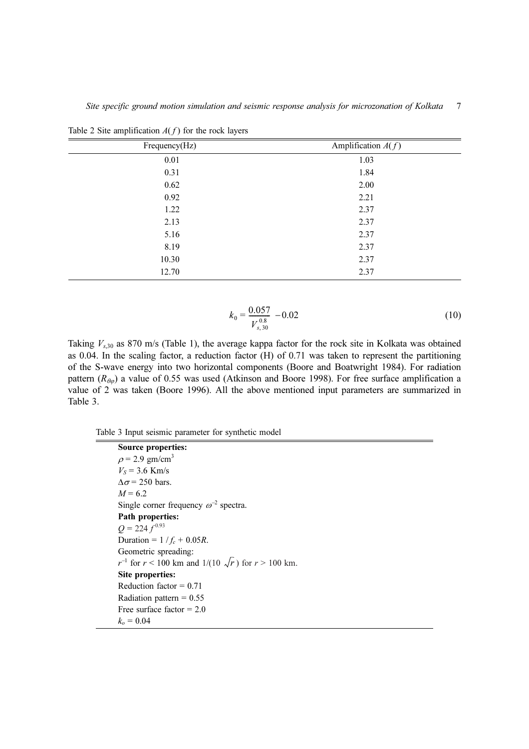Site specific ground motion simulation and seismic response analysis for microzonation of Kolkata 7

| Frequency(Hz) | Amplification $A(f)$ |
|---------------|----------------------|
| 0.01          | 1.03                 |
| 0.31          | 1.84                 |
| 0.62          | 2.00                 |
| 0.92          | 2.21                 |
| 1.22          | 2.37                 |
| 2.13          | 2.37                 |
| 5.16          | 2.37                 |
| 8.19          | 2.37                 |
| 10.30         | 2.37                 |
| 12.70         | 2.37                 |

Table 2 Site amplification  $A(f)$  for the rock layers

$$
k_0 = \frac{0.057}{V_{s,30}} - 0.02\tag{10}
$$

Taking  $V_{s,30}$  as 870 m/s (Table 1), the average kappa factor for the rock site in Kolkata was obtained as 0.04. In the scaling factor, a reduction factor (H) of 0.71 was taken to represent the partitioning of the S-wave energy into two horizontal components (Boore and Boatwright 1984). For radiation pattern ( $R_{\theta\varphi}$ ) a value of 0.55 was used (Atkinson and Boore 1998). For free surface amplification a value of 2 was taken (Boore 1996). All the above mentioned input parameters are summarized in Table 3.

Table 3 Input seismic parameter for synthetic model

| Source properties:                                                |  |
|-------------------------------------------------------------------|--|
| $\rho$ = 2.9 gm/cm <sup>3</sup>                                   |  |
| $V_s = 3.6$ Km/s                                                  |  |
| $\Delta\sigma$ = 250 bars.                                        |  |
| $M = 6.2$                                                         |  |
| Single corner frequency $\omega^{-2}$ spectra.                    |  |
| Path properties:                                                  |  |
| $Q = 224 f^{0.93}$                                                |  |
| Duration = $1/f_c + 0.05R$ .                                      |  |
| Geometric spreading:                                              |  |
| $r^{-1}$ for $r < 100$ km and $1/(10 \sqrt{r})$ for $r > 100$ km. |  |
| Site properties:                                                  |  |
| Reduction factor $= 0.71$                                         |  |
| Radiation pattern = $0.55$                                        |  |
| Free surface factor $= 2.0$                                       |  |
| $k_{0} = 0.04$                                                    |  |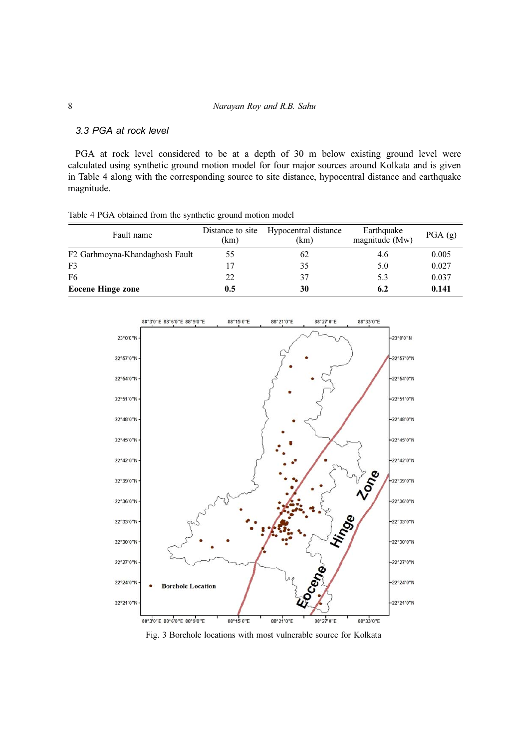# 3.3 PGA at rock level

PGA at rock level considered to be at a depth of 30 m below existing ground level were calculated using synthetic ground motion model for four major sources around Kolkata and is given in Table 4 along with the corresponding source to site distance, hypocentral distance and earthquake magnitude.

| Table 4 PGA obtained from the synthetic ground motion model |  |  |  |  |
|-------------------------------------------------------------|--|--|--|--|
|                                                             |  |  |  |  |

| Fault name                     | Distance to site<br>(km) | Hypocentral distance<br>(km) | Earthquake<br>magnitude (Mw) | PGA(g) |
|--------------------------------|--------------------------|------------------------------|------------------------------|--------|
| F2 Garhmoyna-Khandaghosh Fault | 55                       | 62                           | 4.6                          | 0.005  |
| F <sub>3</sub>                 |                          | 35                           | 5.0                          | 0.027  |
| F <sub>6</sub>                 | 22                       | 37                           | 5.3                          | 0.037  |
| <b>Eocene Hinge zone</b>       | 0.5                      | 30                           | 6.2                          | 0.141  |



Fig. 3 Borehole locations with most vulnerable source for Kolkata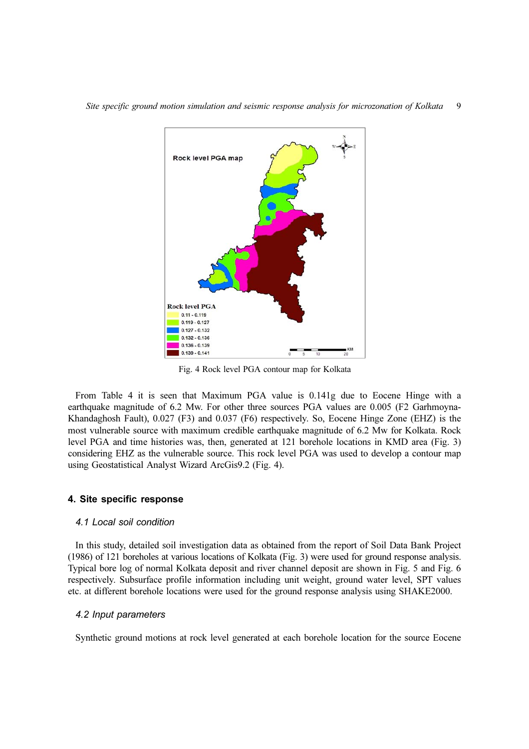

Fig. 4 Rock level PGA contour map for Kolkata

From Table 4 it is seen that Maximum PGA value is 0.141g due to Eocene Hinge with a earthquake magnitude of 6.2 Mw. For other three sources PGA values are 0.005 (F2 Garhmoyna-Khandaghosh Fault), 0.027 (F3) and 0.037 (F6) respectively. So, Eocene Hinge Zone (EHZ) is the most vulnerable source with maximum credible earthquake magnitude of 6.2 Mw for Kolkata. Rock level PGA and time histories was, then, generated at 121 borehole locations in KMD area (Fig. 3) considering EHZ as the vulnerable source. This rock level PGA was used to develop a contour map using Geostatistical Analyst Wizard ArcGis9.2 (Fig. 4).

# 4. Site specific response

# 4.1 Local soil condition

In this study, detailed soil investigation data as obtained from the report of Soil Data Bank Project (1986) of 121 boreholes at various locations of Kolkata (Fig. 3) were used for ground response analysis. Typical bore log of normal Kolkata deposit and river channel deposit are shown in Fig. 5 and Fig. 6 respectively. Subsurface profile information including unit weight, ground water level, SPT values etc. at different borehole locations were used for the ground response analysis using SHAKE2000.

# 4.2 Input parameters

Synthetic ground motions at rock level generated at each borehole location for the source Eocene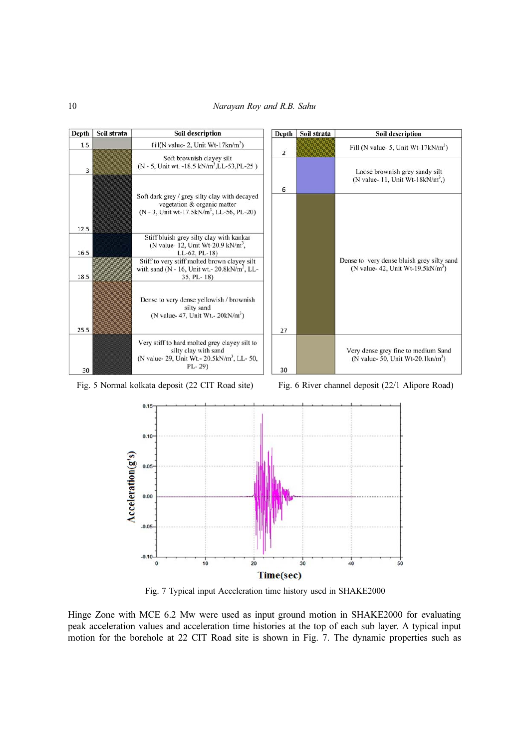

Fig. 5 Normal kolkata deposit (22 CIT Road site) Fig. 6 River channel deposit (22/1 Alipore Road)



Fig. 7 Typical input Acceleration time history used in SHAKE2000

Hinge Zone with MCE 6.2 Mw were used as input ground motion in SHAKE2000 for evaluating peak acceleration values and acceleration time histories at the top of each sub layer. A typical input motion for the borehole at 22 CIT Road site is shown in Fig. 7. The dynamic properties such as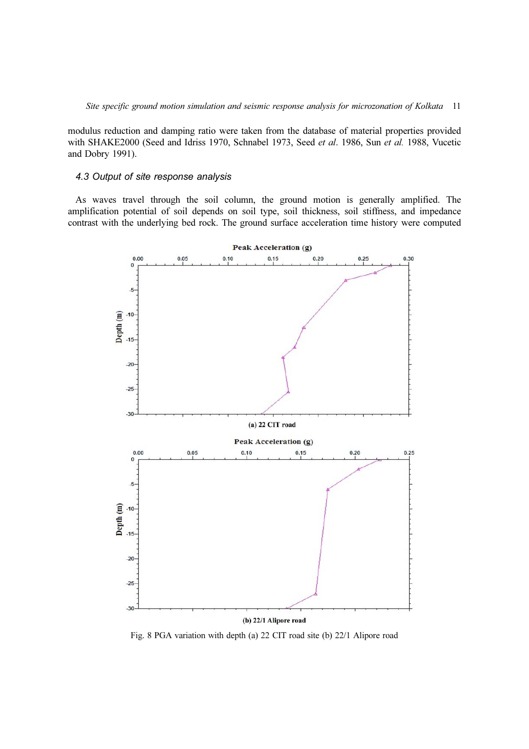modulus reduction and damping ratio were taken from the database of material properties provided with SHAKE2000 (Seed and Idriss 1970, Schnabel 1973, Seed et al. 1986, Sun et al. 1988, Vucetic and Dobry 1991).

## 4.3 Output of site response analysis

As waves travel through the soil column, the ground motion is generally amplified. The amplification potential of soil depends on soil type, soil thickness, soil stiffness, and impedance contrast with the underlying bed rock. The ground surface acceleration time history were computed



Fig. 8 PGA variation with depth (a) 22 CIT road site (b) 22/1 Alipore road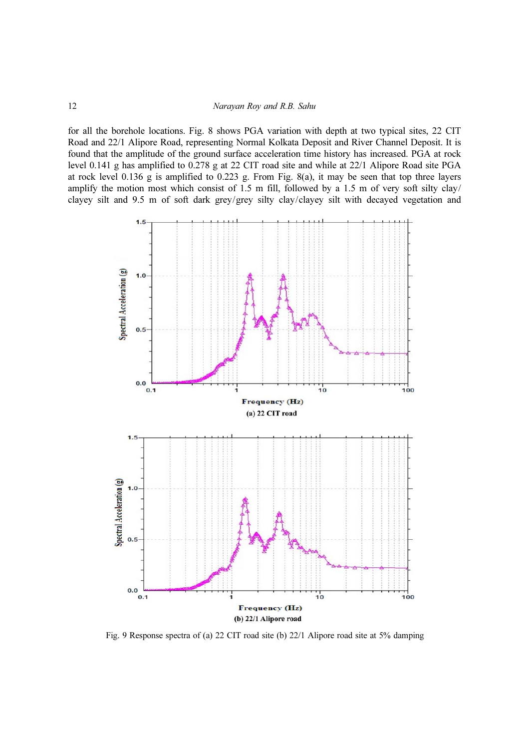for all the borehole locations. Fig. 8 shows PGA variation with depth at two typical sites, 22 CIT Road and 22/1 Alipore Road, representing Normal Kolkata Deposit and River Channel Deposit. It is found that the amplitude of the ground surface acceleration time history has increased. PGA at rock level 0.141 g has amplified to 0.278 g at 22 CIT road site and while at 22/1 Alipore Road site PGA at rock level 0.136 g is amplified to 0.223 g. From Fig. 8(a), it may be seen that top three layers amplify the motion most which consist of 1.5 m fill, followed by a 1.5 m of very soft silty clay/ clayey silt and 9.5 m of soft dark grey/grey silty clay/clayey silt with decayed vegetation and



Fig. 9 Response spectra of (a) 22 CIT road site (b) 22/1 Alipore road site at 5% damping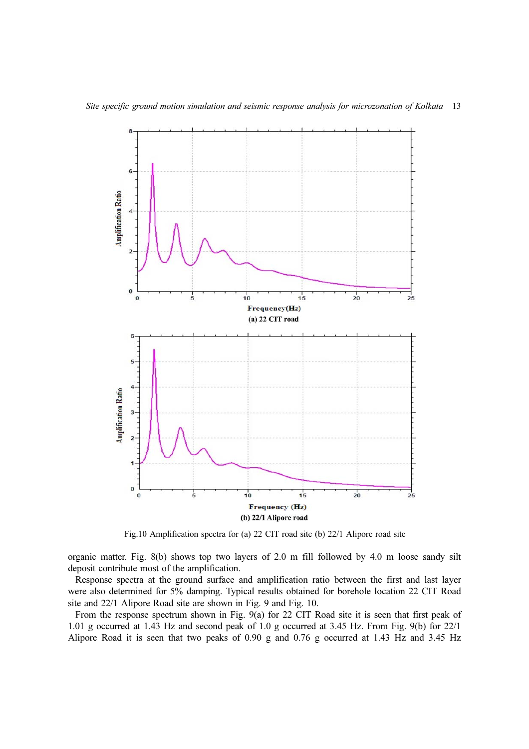

Fig.10 Amplification spectra for (a) 22 CIT road site (b) 22/1 Alipore road site

organic matter. Fig. 8(b) shows top two layers of 2.0 m fill followed by 4.0 m loose sandy silt deposit contribute most of the amplification.

Response spectra at the ground surface and amplification ratio between the first and last layer were also determined for 5% damping. Typical results obtained for borehole location 22 CIT Road site and 22/1 Alipore Road site are shown in Fig. 9 and Fig. 10.

From the response spectrum shown in Fig. 9(a) for 22 CIT Road site it is seen that first peak of 1.01 g occurred at 1.43 Hz and second peak of 1.0 g occurred at 3.45 Hz. From Fig. 9(b) for 22/1 Alipore Road it is seen that two peaks of 0.90 g and 0.76 g occurred at 1.43 Hz and 3.45 Hz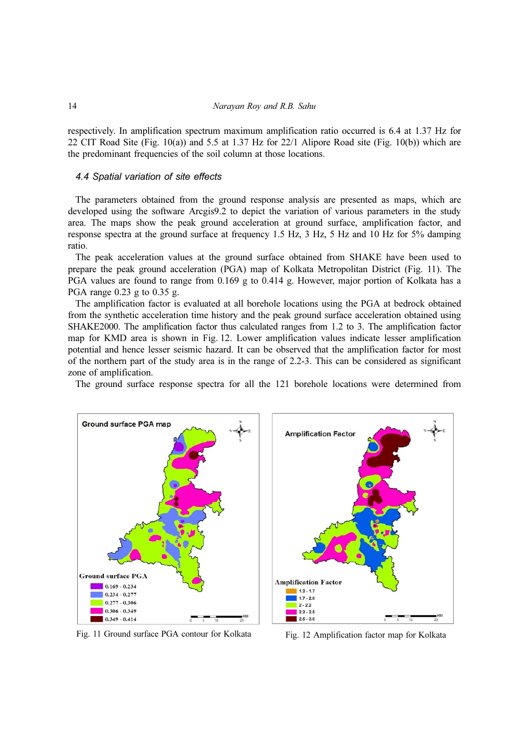respectively. In amplification spectrum maximum amplification ratio occurred is 6.4 at 1.37 Hz for 22 CIT Road Site (Fig. 10(a)) and 5.5 at 1.37 Hz for 22/1 Alipore Road site (Fig. 10(b)) which are the predominant frequencies of the soil column at those locations.

## 4.4 Spatial variation of site effects

The parameters obtained from the ground response analysis are presented as maps, which are developed using the software Arcgis9.2 to depict the variation of various parameters in the study area. The maps show the peak ground acceleration at ground surface, amplification factor, and response spectra at the ground surface at frequency 1.5 Hz, 3 Hz, 5 Hz and 10 Hz for 5% damping ratio.

The peak acceleration values at the ground surface obtained from SHAKE have been used to prepare the peak ground acceleration (PGA) map of Kolkata Metropolitan District (Fig. 11). The PGA values are found to range from 0.169 g to 0.414 g. However, major portion of Kolkata has a PGA range 0.23 g to 0.35 g.

The amplification factor is evaluated at all borehole locations using the PGA at bedrock obtained from the synthetic acceleration time history and the peak ground surface acceleration obtained using SHAKE2000. The amplification factor thus calculated ranges from 1.2 to 3. The amplification factor map for KMD area is shown in Fig. 12. Lower amplification values indicate lesser amplification potential and hence lesser seismic hazard. It can be observed that the amplification factor for most of the northern part of the study area is in the range of 2.2-3. This can be considered as significant zone of amplification.

The ground surface response spectra for all the 121 borehole locations were determined from





Fig. 11 Ground surface PGA contour for Kolkata Fig. 12 Amplification factor map for Kolkata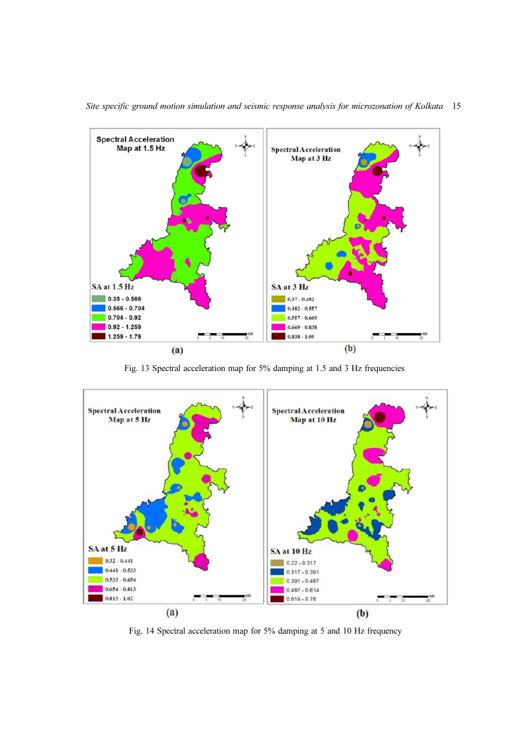

Site specific ground motion simulation and seismic response analysis for microzonation of Kolkata 15

Fig. 13 Spectral acceleration map for 5% damping at 1.5 and 3 Hz frequencies



Fig. 14 Spectral acceleration map for 5% damping at 5 and 10 Hz frequency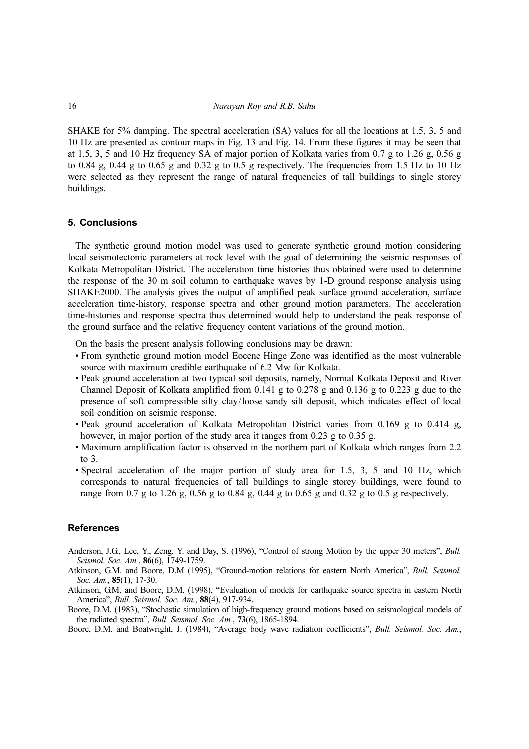SHAKE for 5% damping. The spectral acceleration (SA) values for all the locations at 1.5, 3, 5 and 10 Hz are presented as contour maps in Fig. 13 and Fig. 14. From these figures it may be seen that at 1.5, 3, 5 and 10 Hz frequency SA of major portion of Kolkata varies from 0.7 g to 1.26 g, 0.56 g to 0.84 g, 0.44 g to 0.65 g and 0.32 g to 0.5 g respectively. The frequencies from 1.5 Hz to 10 Hz were selected as they represent the range of natural frequencies of tall buildings to single storey buildings.

# 5. Conclusions

The synthetic ground motion model was used to generate synthetic ground motion considering local seismotectonic parameters at rock level with the goal of determining the seismic responses of Kolkata Metropolitan District. The acceleration time histories thus obtained were used to determine the response of the 30 m soil column to earthquake waves by 1-D ground response analysis using SHAKE2000. The analysis gives the output of amplified peak surface ground acceleration, surface acceleration time-history, response spectra and other ground motion parameters. The acceleration time-histories and response spectra thus determined would help to understand the peak response of the ground surface and the relative frequency content variations of the ground motion.

On the basis the present analysis following conclusions may be drawn:

- From synthetic ground motion model Eocene Hinge Zone was identified as the most vulnerable source with maximum credible earthquake of 6.2 Mw for Kolkata.
- Peak ground acceleration at two typical soil deposits, namely, Normal Kolkata Deposit and River Channel Deposit of Kolkata amplified from 0.141 g to 0.278 g and 0.136 g to 0.223 g due to the presence of soft compressible silty clay/loose sandy silt deposit, which indicates effect of local soil condition on seismic response.
- Peak ground acceleration of Kolkata Metropolitan District varies from 0.169 g to 0.414 g, however, in major portion of the study area it ranges from 0.23 g to 0.35 g.
- Maximum amplification factor is observed in the northern part of Kolkata which ranges from 2.2 to 3.
- Spectral acceleration of the major portion of study area for 1.5, 3, 5 and 10 Hz, which corresponds to natural frequencies of tall buildings to single storey buildings, were found to range from 0.7 g to 1.26 g, 0.56 g to 0.84 g, 0.44 g to 0.65 g and 0.32 g to 0.5 g respectively.

#### References

- Anderson, J.G., Lee, Y., Zeng, Y. and Day, S. (1996), "Control of strong Motion by the upper 30 meters", Bull. Seismol. Soc. Am., 86(6), 1749-1759.<br>Atkinson, G.M. and Boore, D.M (1995), "Ground-motion relations for eastern North America", *Bull. Seismol*.
- Soc. Am., **85**(1), 17-30.
- Atkinson, G.M. and Boore, D.M. (1998), "Evaluation of models for earthquake source spectra in eastern North America", Bull. Seismol. Soc. Am., 88(4), 917-934. America", *Bull. Seismol. Soc. Am.*, **88**(4), 917-934.<br>Boore, D.M. (1983), "Stochastic simulation of high-frequency ground motions based on seismological models of
- the radiated spectra", Bull. Seismol. Soc. Am., 73(6), 1865-1894.
- Boore, D.M. and Boatwright, J. (1984), "Average body wave radiation coefficients", Bull. Seismol. Soc. Am.,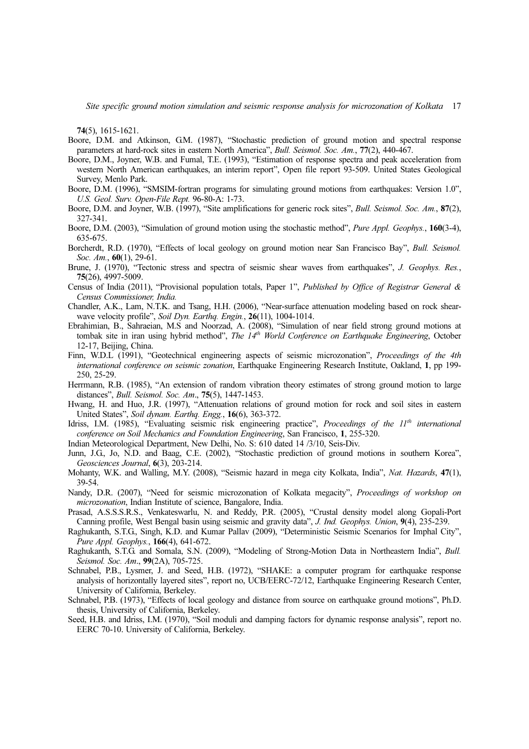Site specific ground motion simulation and seismic response analysis for microzonation of Kolkata 17

74(5), 1615-1621.

- Boore, D.M. and Atkinson, G.M. (1987), "Stochastic prediction of ground motion and spectral response parameters at hard-rock sites in eastern North America", Bull. Seismol. Soc. Am., 77(2), 440-467.
- Boore, D.M., Joyner, W.B. and Fumal, T.E. (1993), "Estimation of response spectra and peak acceleration from western North American earthquakes, an interim report", Open file report 93-509. United States Geological Survey, Menlo Park.
- Boore, D.M. (1996), "SMSIM-fortran programs for simulating ground motions from earthquakes: Version 1.0", U.S. Geol. Surv. Open-File Rept. 96-80-A: 1-73.
- Boore, D.M. and Joyner, W.B. (1997), "Site amplifications for generic rock sites", Bull. Seismol. Soc. Am., 87(2), 327-341.
- Boore, D.M. (2003), "Simulation of ground motion using the stochastic method", Pure Appl. Geophys., 160(3-4), 635-675.
- Borcherdt, R.D. (1970), "Effects of local geology on ground motion near San Francisco Bay", Bull. Seismol. Soc. Am., **60**(1), 29-61.
- Brune, J. (1970), "Tectonic stress and spectra of seismic shear waves from earthquakes", J. Geophys. Res., 75(26), 4997-5009.
- Census of India (2011), "Provisional population totals, Paper 1", Published by Office of Registrar General & Census Commissioner, India.
- Chandler, A.K., Lam, N.T.K. and Tsang, H.H. (2006), "Near-surface attenuation modeling based on rock shearwave velocity profile", Soil Dyn. Earthq. Engin., 26(11), 1004-1014.
- Ebrahimian, B., Sahraeian, M.S and Noorzad, A. (2008), "Simulation of near field strong ground motions at tombak site in iran using hybrid method", The  $14<sup>th</sup>$  World Conference on Earthquake Engineering, October 12-17, Beijing, China.
- Finn, W.D.L (1991), "Geotechnical engineering aspects of seismic microzonation", *Proceedings of the 4th* international conference on seismic zonation, Earthquake Engineering Research Institute, Oakland, 1, pp 199-250, 25-29.
- Herrmann, R.B. (1985), "An extension of random vibration theory estimates of strong ground motion to large distances", Bull. Seismol. Soc. Am., 75(5), 1447-1453.
- Hwang, H. and Huo, J.R. (1997), "Attenuation relations of ground motion for rock and soil sites in eastern United States", Soil dynam. Earthq. Engg., 16(6), 363-372.
- Idriss, I.M. (1985), "Evaluating seismic risk engineering practice", *Proceedings of the*  $11<sup>th</sup>$  *international* conference on Soil Mechanics and Foundation Engineering, San Francisco, 1, 255-320.
- Indian Meteorological Department, New Delhi, No. S: 610 dated 14 /3/10, Seis-Div.
- Junn, J.G., Jo, N.D. and Baag, C.E. (2002), "Stochastic prediction of ground motions in southern Korea", Geosciences Journal, 6(3), 203-214.
- Mohanty, W.K. and Walling, M.Y. (2008), "Seismic hazard in mega city Kolkata, India", Nat. Hazards, 47(1), 39-54.
- Nandy, D.R. (2007), "Need for seismic microzonation of Kolkata megacity", Proceedings of workshop on microzonation, Indian Institute of science, Bangalore, India.
- Prasad, A.S.S.S.R.S., Venkateswarlu, N. and Reddy, P.R. (2005), "Crustal density model along Gopali-Port Canning profile, West Bengal basin using seismic and gravity data", J. Ind. Geophys. Union, 9(4), 235-239.
- Raghukanth, S.T.G., Singh, K.D. and Kumar Pallav (2009), "Deterministic Seismic Scenarios for Imphal City", Pure Appl. Geophys., 166(4), 641-672.
- Raghukanth, S.T.G. and Somala, S.N. (2009), "Modeling of Strong-Motion Data in Northeastern India", Bull. Seismol. Soc. Am., 99(2A), 705-725.
- Schnabel, P.B., Lysmer, J. and Seed, H.B. (1972), "SHAKE: a computer program for earthquake response analysis of horizontally layered sites", report no, UCB/EERC-72/12, Earthquake Engineering Research Center, University of California, Berkeley.
- Schnabel, P.B. (1973), "Effects of local geology and distance from source on earthquake ground motions", Ph.D. thesis, University of California, Berkeley.
- Seed, H.B. and Idriss, I.M. (1970), "Soil moduli and damping factors for dynamic response analysis", report no. EERC 70-10. University of California, Berkeley.